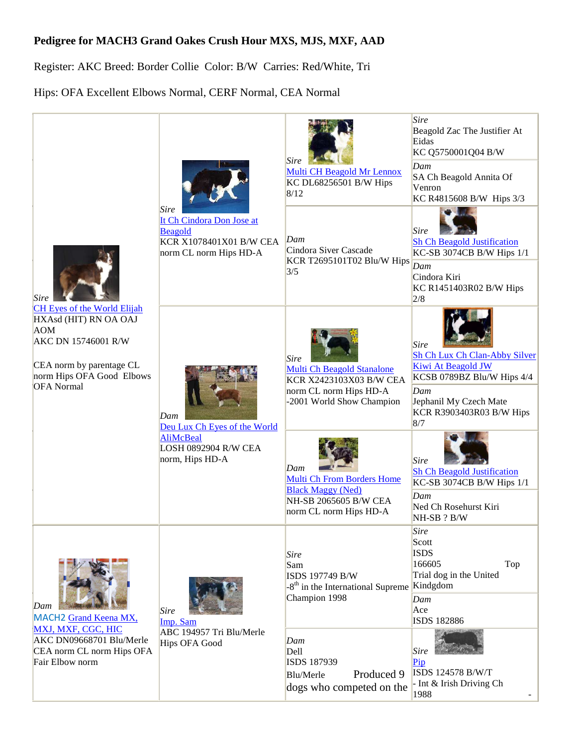## **Pedigree for MACH3 Grand Oakes Crush Hour MXS, MJS, MXF, AAD**

Register: AKC Breed: Border Collie Color: B/W Carries: Red/White, Tri

Hips: OFA Excellent Elbows Normal, CERF Normal, CEA Normal

| <b>Sire</b><br><b>CH Eyes of the World Elijah</b><br>HXAsd (HIT) RN OA OAJ<br><b>AOM</b><br>AKC DN 15746001 R/W<br>CEA norm by parentage CL<br>norm Hips OFA Good Elbows<br><b>OFA</b> Normal | <b>Sire</b><br>It Ch Cindora Don Jose at<br><b>Beagold</b><br>KCR X1078401X01 B/W CEA<br>norm CL norm Hips HD-A | <b>Sire</b><br>Multi CH Beagold Mr Lennox<br>KC DL68256501 B/W Hips<br>8/12                                             | Sire<br>Beagold Zac The Justifier At<br>Eidas<br>KC Q5750001Q04 B/W<br>Dam<br>SA Ch Beagold Annita Of<br>Venron<br>KC R4815608 B/W Hips 3/3                          |
|-----------------------------------------------------------------------------------------------------------------------------------------------------------------------------------------------|-----------------------------------------------------------------------------------------------------------------|-------------------------------------------------------------------------------------------------------------------------|----------------------------------------------------------------------------------------------------------------------------------------------------------------------|
|                                                                                                                                                                                               |                                                                                                                 | Dam<br>Cindora Siver Cascade<br>KCR T2695101T02 Blu/W Hips<br>3/5                                                       | <b>Sire</b><br><b>Sh Ch Beagold Justification</b><br>KC-SB 3074CB B/W Hips 1/1<br>Dam<br>Cindora Kiri<br>KC R1451403R02 B/W Hips<br>2/8                              |
|                                                                                                                                                                                               | Dam<br>Deu Lux Ch Eyes of the World<br><b>AliMcBeal</b><br>LOSH 0892904 R/W CEA<br>norm, Hips HD-A              | Sire<br>Multi Ch Beagold Stanalone<br>KCR X2423103X03 B/W CEA<br>norm CL norm Hips HD-A<br>-2001 World Show Champion    | <b>Sire</b><br>Sh Ch Lux Ch Clan-Abby Silver<br>Kiwi At Beagold JW<br>KCSB 0789BZ Blu/W Hips 4/4<br>Dam<br>Jephanil My Czech Mate<br>KCR R3903403R03 B/W Hips<br>8/7 |
|                                                                                                                                                                                               |                                                                                                                 | Dam<br><b>Multi Ch From Borders Home</b><br><b>Black Maggy (Ned)</b><br>NH-SB 2065605 B/W CEA<br>norm CL norm Hips HD-A | Sire<br><b>Sh Ch Beagold Justification</b><br>KC-SB 3074CB B/W Hips 1/1<br>Dam<br>Ned Ch Rosehurst Kiri<br>NH-SB ? B/W                                               |
| Dam<br>MACH2 Grand Keena MX,<br>MXJ, MXF, CGC, HIC<br>AKC DN09668701 Blu/Merle<br>CEA norm CL norm Hips OFA<br>Fair Elbow norm                                                                | <b>Sire</b><br>Imp. Sam<br>ABC 194957 Tri Blu/Merle<br>Hips OFA Good                                            | <b>Sire</b><br>Sam<br>ISDS 197749 B/W<br>-8 <sup>th</sup> in the International Supreme<br>Champion 1998                 | <b>Sire</b><br>Scott<br><b>ISDS</b><br>166605<br>Top<br>Trial dog in the United<br>Kindgdom<br>Dam<br>Ace<br><b>ISDS 182886</b>                                      |
|                                                                                                                                                                                               |                                                                                                                 | Dam<br>Dell<br>ISDS 187939<br>Produced 9<br>Blu/Merle<br>dogs who competed on the                                       | <b>Sire</b><br>Pip<br>ISDS 124578 B/W/T<br>- Int & Irish Driving Ch<br>1988                                                                                          |